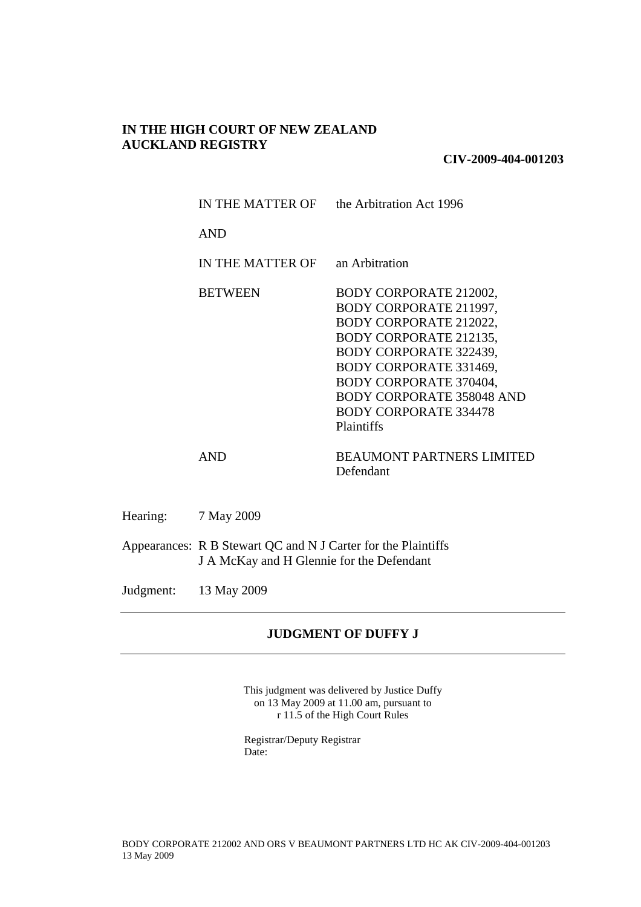# **IN THE HIGH COURT OF NEW ZEALAND AUCKLAND REGISTRY**

**CIV-2009-404-001203**

| IN THE MATTER OF | the Arbitration Act 1996                                                                                                                                                                                                                                                    |
|------------------|-----------------------------------------------------------------------------------------------------------------------------------------------------------------------------------------------------------------------------------------------------------------------------|
| <b>AND</b>       |                                                                                                                                                                                                                                                                             |
| IN THE MATTER OF | an Arbitration                                                                                                                                                                                                                                                              |
| <b>BETWEEN</b>   | BODY CORPORATE 212002,<br>BODY CORPORATE 211997,<br>BODY CORPORATE 212022,<br><b>BODY CORPORATE 212135,</b><br>BODY CORPORATE 322439,<br>BODY CORPORATE 331469,<br>BODY CORPORATE 370404,<br><b>BODY CORPORATE 358048 AND</b><br><b>BODY CORPORATE 334478</b><br>Plaintiffs |
| AND              | <b>BEAUMONT PARTNERS LIMITED</b><br>Defendant                                                                                                                                                                                                                               |

Hearing: 7 May 2009

Appearances: R B Stewart QC and N J Carter for the Plaintiffs J A McKay and H Glennie for the Defendant

Judgment: 13 May 2009

# **JUDGMENT OF DUFFY J**

This judgment was delivered by Justice Duffy on 13 May 2009 at 11.00 am, pursuant to r 11.5 of the High Court Rules

Registrar/Deputy Registrar Date: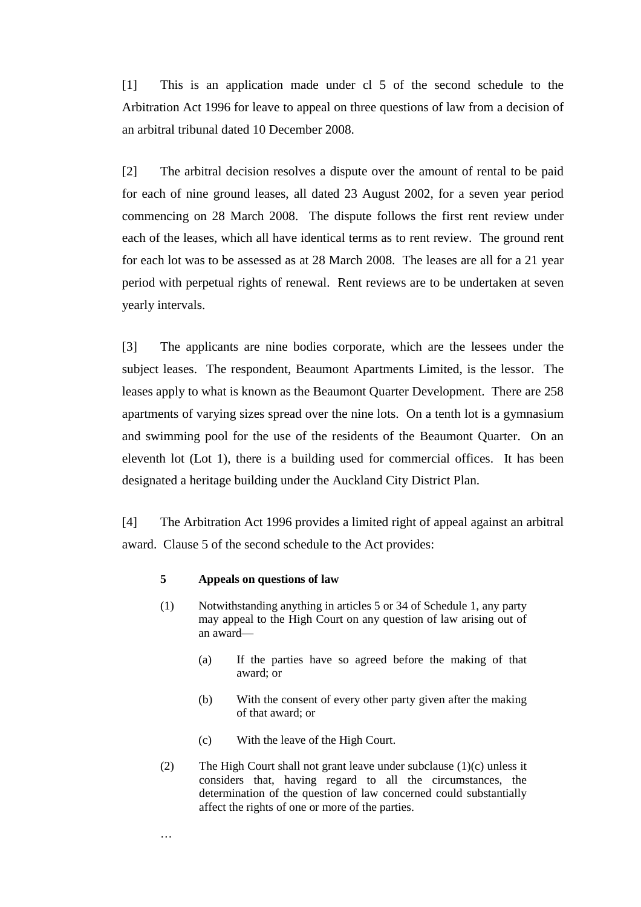[1] This is an application made under cl 5 of the second schedule to the Arbitration Act 1996 for leave to appeal on three questions of law from a decision of an arbitral tribunal dated 10 December 2008.

[2] The arbitral decision resolves a dispute over the amount of rental to be paid for each of nine ground leases, all dated 23 August 2002, for a seven year period commencing on 28 March 2008. The dispute follows the first rent review under each of the leases, which all have identical terms as to rent review. The ground rent for each lot was to be assessed as at 28 March 2008. The leases are all for a 21 year period with perpetual rights of renewal. Rent reviews are to be undertaken at seven yearly intervals.

[3] The applicants are nine bodies corporate, which are the lessees under the subject leases. The respondent, Beaumont Apartments Limited, is the lessor. The leases apply to what is known as the Beaumont Quarter Development. There are 258 apartments of varying sizes spread over the nine lots. On a tenth lot is a gymnasium and swimming pool for the use of the residents of the Beaumont Quarter. On an eleventh lot (Lot 1), there is a building used for commercial offices. It has been designated a heritage building under the Auckland City District Plan.

[4] The Arbitration Act 1996 provides a limited right of appeal against an arbitral award. Clause 5 of the second schedule to the Act provides:

### **5 Appeals on questions of law**

…

- (1) Notwithstanding anything in articles 5 or 34 of Schedule 1, any party may appeal to the High Court on any question of law arising out of an award—
	- (a) If the parties have so agreed before the making of that award; or
	- (b) With the consent of every other party given after the making of that award; or
	- (c) With the leave of the High Court.
- (2) The High Court shall not grant leave under subclause (1)(c) unless it considers that, having regard to all the circumstances, the determination of the question of law concerned could substantially affect the rights of one or more of the parties.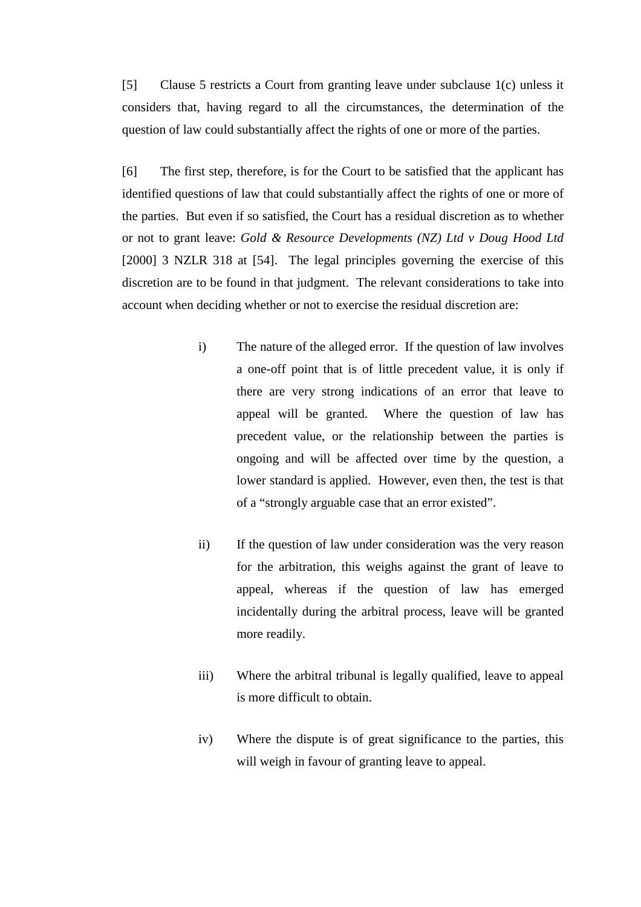[5] Clause 5 restricts a Court from granting leave under subclause 1(c) unless it considers that, having regard to all the circumstances, the determination of the question of law could substantially affect the rights of one or more of the parties.

[6] The first step, therefore, is for the Court to be satisfied that the applicant has identified questions of law that could substantially affect the rights of one or more of the parties. But even if so satisfied, the Court has a residual discretion as to whether or not to grant leave: *Gold & Resource Developments (NZ) Ltd v Doug Hood Ltd* [2000] 3 NZLR 318 at [54]. The legal principles governing the exercise of this discretion are to be found in that judgment. The relevant considerations to take into account when deciding whether or not to exercise the residual discretion are:

- i) The nature of the alleged error. If the question of law involves a one-off point that is of little precedent value, it is only if there are very strong indications of an error that leave to appeal will be granted. Where the question of law has precedent value, or the relationship between the parties is ongoing and will be affected over time by the question, a lower standard is applied. However, even then, the test is that of a "strongly arguable case that an error existed".
- ii) If the question of law under consideration was the very reason for the arbitration, this weighs against the grant of leave to appeal, whereas if the question of law has emerged incidentally during the arbitral process, leave will be granted more readily.
- iii) Where the arbitral tribunal is legally qualified, leave to appeal is more difficult to obtain.
- iv) Where the dispute is of great significance to the parties, this will weigh in favour of granting leave to appeal.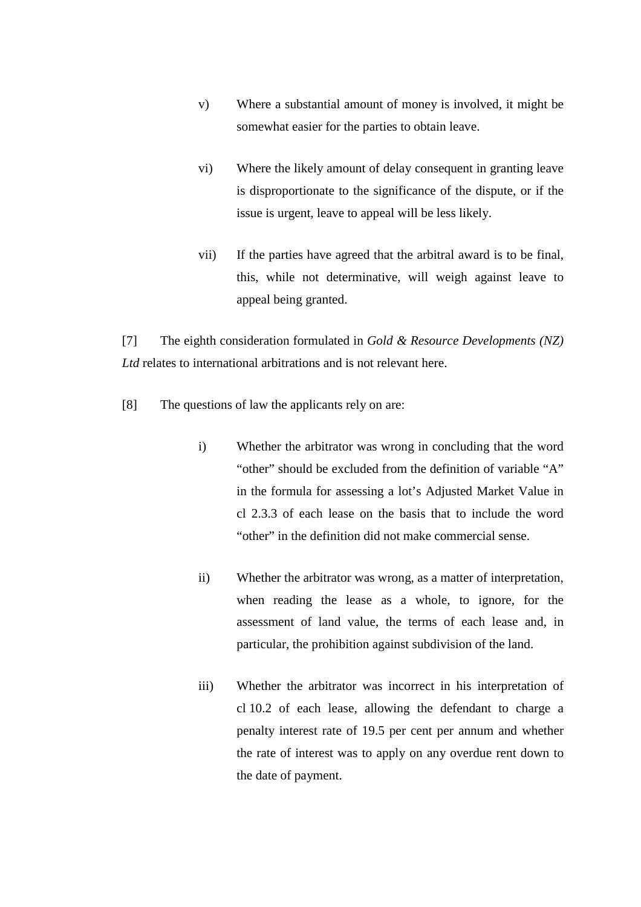- v) Where a substantial amount of money is involved, it might be somewhat easier for the parties to obtain leave.
- vi) Where the likely amount of delay consequent in granting leave is disproportionate to the significance of the dispute, or if the issue is urgent, leave to appeal will be less likely.
- vii) If the parties have agreed that the arbitral award is to be final, this, while not determinative, will weigh against leave to appeal being granted.

[7] The eighth consideration formulated in *Gold & Resource Developments (NZ) Ltd* relates to international arbitrations and is not relevant here.

- [8] The questions of law the applicants rely on are:
	- i) Whether the arbitrator was wrong in concluding that the word "other" should be excluded from the definition of variable "A" in the formula for assessing a lot's Adjusted Market Value in cl 2.3.3 of each lease on the basis that to include the word "other" in the definition did not make commercial sense.
	- ii) Whether the arbitrator was wrong, as a matter of interpretation, when reading the lease as a whole, to ignore, for the assessment of land value, the terms of each lease and, in particular, the prohibition against subdivision of the land.
	- iii) Whether the arbitrator was incorrect in his interpretation of cl 10.2 of each lease, allowing the defendant to charge a penalty interest rate of 19.5 per cent per annum and whether the rate of interest was to apply on any overdue rent down to the date of payment.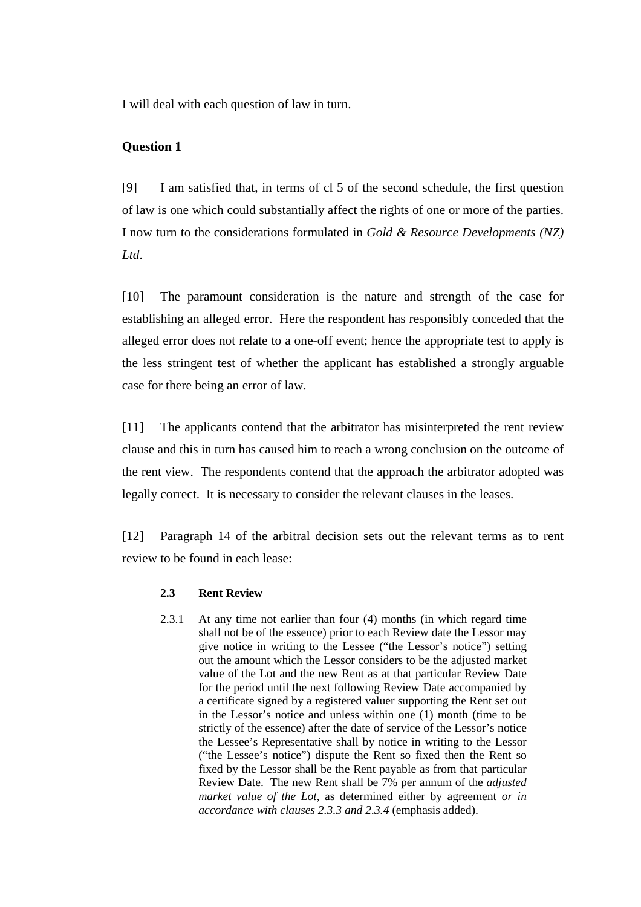I will deal with each question of law in turn.

## **Question 1**

[9] I am satisfied that, in terms of cl 5 of the second schedule, the first question of law is one which could substantially affect the rights of one or more of the parties. I now turn to the considerations formulated in *Gold & Resource Developments (NZ) Ltd*.

[10] The paramount consideration is the nature and strength of the case for establishing an alleged error. Here the respondent has responsibly conceded that the alleged error does not relate to a one-off event; hence the appropriate test to apply is the less stringent test of whether the applicant has established a strongly arguable case for there being an error of law.

[11] The applicants contend that the arbitrator has misinterpreted the rent review clause and this in turn has caused him to reach a wrong conclusion on the outcome of the rent view. The respondents contend that the approach the arbitrator adopted was legally correct. It is necessary to consider the relevant clauses in the leases.

[12] Paragraph 14 of the arbitral decision sets out the relevant terms as to rent review to be found in each lease:

### **2.3 Rent Review**

2.3.1 At any time not earlier than four (4) months (in which regard time shall not be of the essence) prior to each Review date the Lessor may give notice in writing to the Lessee ("the Lessor's notice") setting out the amount which the Lessor considers to be the adjusted market value of the Lot and the new Rent as at that particular Review Date for the period until the next following Review Date accompanied by a certificate signed by a registered valuer supporting the Rent set out in the Lessor's notice and unless within one (1) month (time to be strictly of the essence) after the date of service of the Lessor's notice the Lessee's Representative shall by notice in writing to the Lessor ("the Lessee's notice") dispute the Rent so fixed then the Rent so fixed by the Lessor shall be the Rent payable as from that particular Review Date. The new Rent shall be 7% per annum of the *adjusted market value of the Lot*, as determined either by agreement *or in accordance with clauses 2.3.3 and 2.3.4* (emphasis added).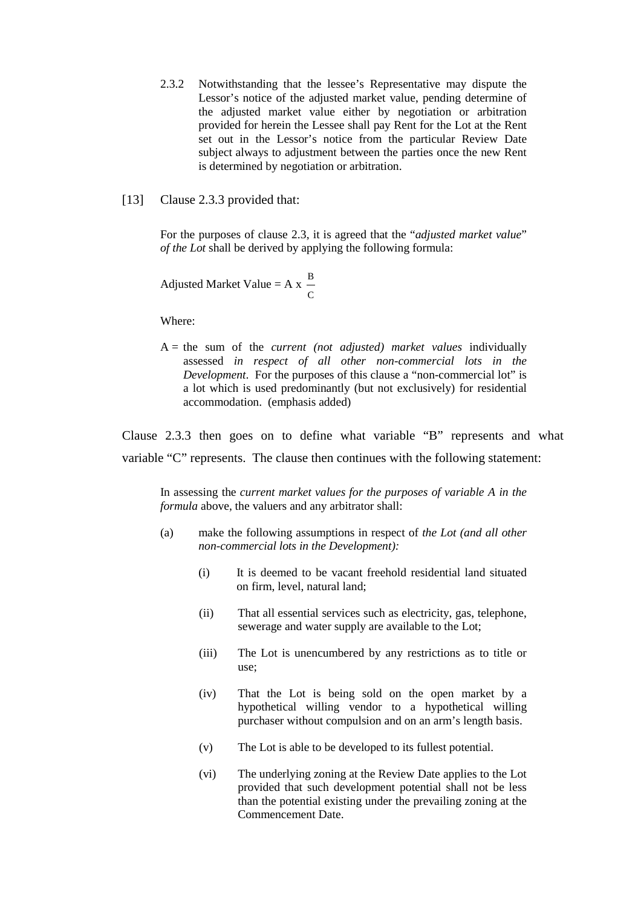- 2.3.2 Notwithstanding that the lessee's Representative may dispute the Lessor's notice of the adjusted market value, pending determine of the adjusted market value either by negotiation or arbitration provided for herein the Lessee shall pay Rent for the Lot at the Rent set out in the Lessor's notice from the particular Review Date subject always to adjustment between the parties once the new Rent is determined by negotiation or arbitration.
- [13] Clause 2.3.3 provided that:

For the purposes of clause 2.3, it is agreed that the "*adjusted market value*" *of the Lot* shall be derived by applying the following formula:

Adjusted Market Value  $= A x$  $\mathsf{C}$ B

Where:

A = the sum of the *current (not adjusted) market values* individually assessed *in respect of all other non-commercial lots in the Development*. For the purposes of this clause a "non-commercial lot" is a lot which is used predominantly (but not exclusively) for residential accommodation. (emphasis added)

Clause 2.3.3 then goes on to define what variable "B" represents and what variable "C" represents. The clause then continues with the following statement:

In assessing the *current market values for the purposes of variable A in the formula* above, the valuers and any arbitrator shall:

- (a) make the following assumptions in respect of *the Lot (and all other non-commercial lots in the Development):*
	- (i) It is deemed to be vacant freehold residential land situated on firm, level, natural land;
	- (ii) That all essential services such as electricity, gas, telephone, sewerage and water supply are available to the Lot;
	- (iii) The Lot is unencumbered by any restrictions as to title or use;
	- (iv) That the Lot is being sold on the open market by a hypothetical willing vendor to a hypothetical willing purchaser without compulsion and on an arm's length basis.
	- (v) The Lot is able to be developed to its fullest potential.
	- (vi) The underlying zoning at the Review Date applies to the Lot provided that such development potential shall not be less than the potential existing under the prevailing zoning at the Commencement Date.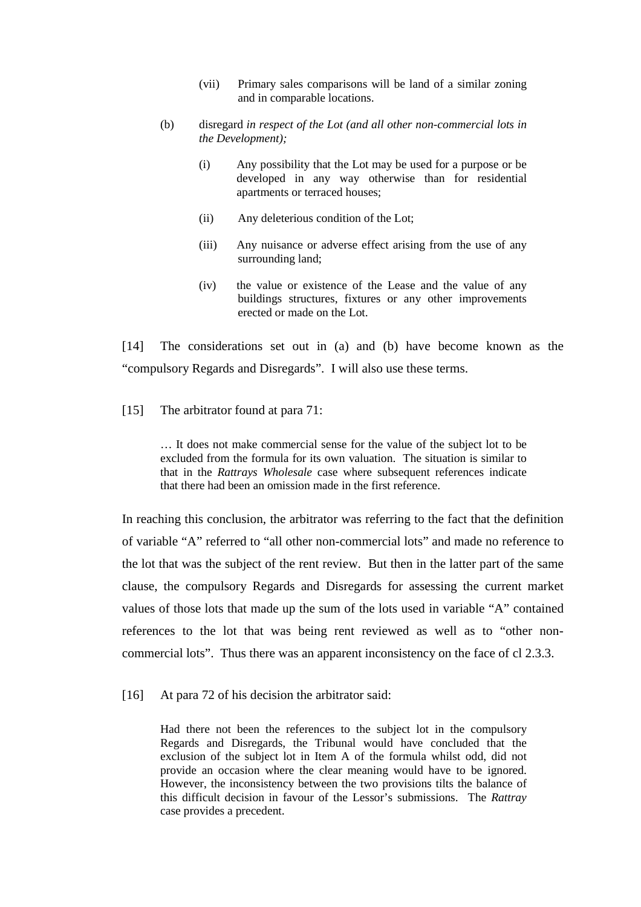- (vii) Primary sales comparisons will be land of a similar zoning and in comparable locations.
- (b) disregard *in respect of the Lot (and all other non-commercial lots in the Development);*
	- (i) Any possibility that the Lot may be used for a purpose or be developed in any way otherwise than for residential apartments or terraced houses;
	- (ii) Any deleterious condition of the Lot;
	- (iii) Any nuisance or adverse effect arising from the use of any surrounding land;
	- (iv) the value or existence of the Lease and the value of any buildings structures, fixtures or any other improvements erected or made on the Lot.

[14] The considerations set out in (a) and (b) have become known as the "compulsory Regards and Disregards". I will also use these terms.

### [15] The arbitrator found at para 71:

… It does not make commercial sense for the value of the subject lot to be excluded from the formula for its own valuation. The situation is similar to that in the *Rattrays Wholesale* case where subsequent references indicate that there had been an omission made in the first reference.

In reaching this conclusion, the arbitrator was referring to the fact that the definition of variable "A" referred to "all other non-commercial lots" and made no reference to the lot that was the subject of the rent review. But then in the latter part of the same clause, the compulsory Regards and Disregards for assessing the current market values of those lots that made up the sum of the lots used in variable "A" contained references to the lot that was being rent reviewed as well as to "other noncommercial lots". Thus there was an apparent inconsistency on the face of cl 2.3.3.

[16] At para 72 of his decision the arbitrator said:

Had there not been the references to the subject lot in the compulsory Regards and Disregards, the Tribunal would have concluded that the exclusion of the subject lot in Item A of the formula whilst odd, did not provide an occasion where the clear meaning would have to be ignored. However, the inconsistency between the two provisions tilts the balance of this difficult decision in favour of the Lessor's submissions. The *Rattray* case provides a precedent.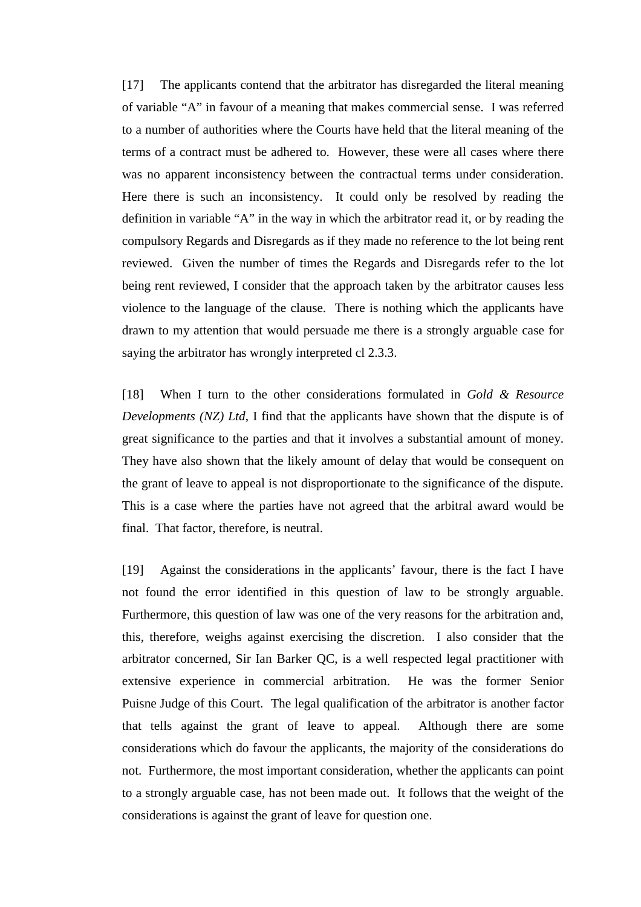[17] The applicants contend that the arbitrator has disregarded the literal meaning of variable "A" in favour of a meaning that makes commercial sense. I was referred to a number of authorities where the Courts have held that the literal meaning of the terms of a contract must be adhered to. However, these were all cases where there was no apparent inconsistency between the contractual terms under consideration. Here there is such an inconsistency. It could only be resolved by reading the definition in variable "A" in the way in which the arbitrator read it, or by reading the compulsory Regards and Disregards as if they made no reference to the lot being rent reviewed. Given the number of times the Regards and Disregards refer to the lot being rent reviewed, I consider that the approach taken by the arbitrator causes less violence to the language of the clause. There is nothing which the applicants have drawn to my attention that would persuade me there is a strongly arguable case for saying the arbitrator has wrongly interpreted cl 2.3.3.

[18] When I turn to the other considerations formulated in *Gold & Resource Developments (NZ) Ltd*, I find that the applicants have shown that the dispute is of great significance to the parties and that it involves a substantial amount of money. They have also shown that the likely amount of delay that would be consequent on the grant of leave to appeal is not disproportionate to the significance of the dispute. This is a case where the parties have not agreed that the arbitral award would be final. That factor, therefore, is neutral.

[19] Against the considerations in the applicants' favour, there is the fact I have not found the error identified in this question of law to be strongly arguable. Furthermore, this question of law was one of the very reasons for the arbitration and, this, therefore, weighs against exercising the discretion. I also consider that the arbitrator concerned, Sir Ian Barker QC, is a well respected legal practitioner with extensive experience in commercial arbitration. He was the former Senior Puisne Judge of this Court. The legal qualification of the arbitrator is another factor that tells against the grant of leave to appeal. Although there are some considerations which do favour the applicants, the majority of the considerations do not. Furthermore, the most important consideration, whether the applicants can point to a strongly arguable case, has not been made out. It follows that the weight of the considerations is against the grant of leave for question one.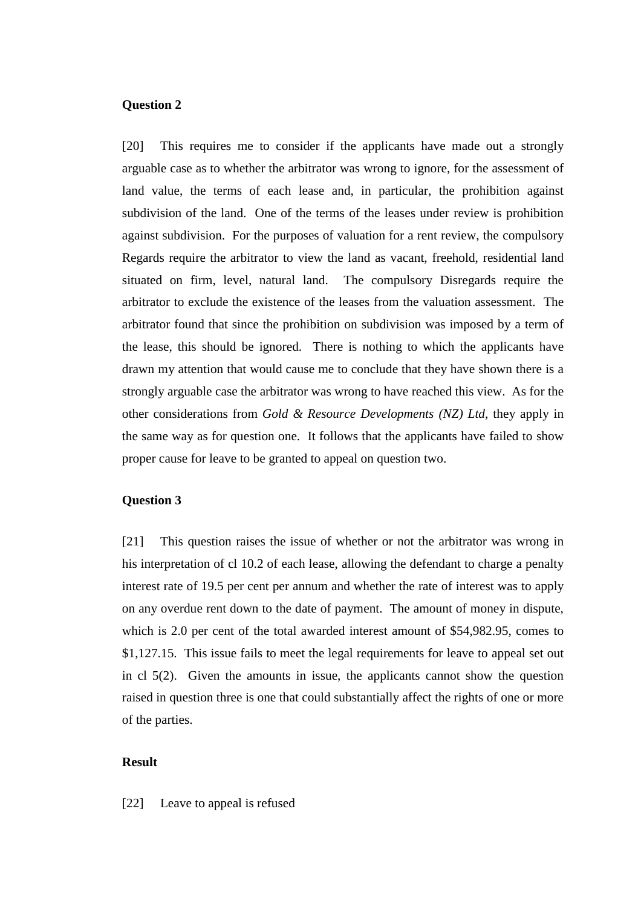### **Question 2**

[20] This requires me to consider if the applicants have made out a strongly arguable case as to whether the arbitrator was wrong to ignore, for the assessment of land value, the terms of each lease and, in particular, the prohibition against subdivision of the land. One of the terms of the leases under review is prohibition against subdivision. For the purposes of valuation for a rent review, the compulsory Regards require the arbitrator to view the land as vacant, freehold, residential land situated on firm, level, natural land. The compulsory Disregards require the arbitrator to exclude the existence of the leases from the valuation assessment. The arbitrator found that since the prohibition on subdivision was imposed by a term of the lease, this should be ignored. There is nothing to which the applicants have drawn my attention that would cause me to conclude that they have shown there is a strongly arguable case the arbitrator was wrong to have reached this view. As for the other considerations from *Gold & Resource Developments (NZ) Ltd*, they apply in the same way as for question one. It follows that the applicants have failed to show proper cause for leave to be granted to appeal on question two.

## **Question 3**

[21] This question raises the issue of whether or not the arbitrator was wrong in his interpretation of cl 10.2 of each lease, allowing the defendant to charge a penalty interest rate of 19.5 per cent per annum and whether the rate of interest was to apply on any overdue rent down to the date of payment. The amount of money in dispute, which is 2.0 per cent of the total awarded interest amount of \$54,982.95, comes to \$1,127.15. This issue fails to meet the legal requirements for leave to appeal set out in cl 5(2). Given the amounts in issue, the applicants cannot show the question raised in question three is one that could substantially affect the rights of one or more of the parties.

## **Result**

#### [22] Leave to appeal is refused